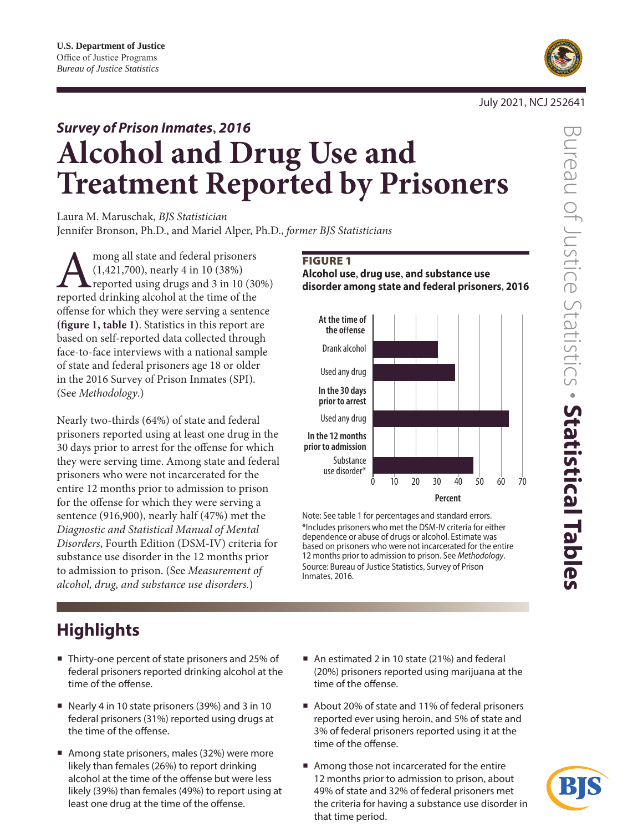

#### July 2021, NCJ 252641

# *Survey of Prison Inmates***,** *2016*  **Alcohol and Drug Use and Treatment Reported by Prisoners**

Laura M. Maruschak, *BJS Statistician* Jennifer Bronson, Ph.D., and Mariel Alper, Ph.D., *former BJS Statisticians*

mong all state and federal prisoners<br>
(1,421,700), nearly 4 in 10 (38%)<br>
reported using drugs and 3 in 10 (30<br>
reported drinking alcohol at the time of the (1,421,700), nearly 4 in 10 (38%) reported using drugs and 3 in 10 (30%) offense for which they were serving a sentence **(figure 1, table 1)**. Statistics in this report are based on self-reported data collected through face-to-face interviews with a national sample of state and federal prisoners age 18 or older in the 2016 Survey of Prison Inmates (SPI). (See *Methodology*.)

Nearly two-thirds (64%) of state and federal prisoners reported using at least one drug in the 30 days prior to arrest for the offense for which they were serving time. Among state and federal prisoners who were not incarcerated for the entire 12 months prior to admission to prison for the offense for which they were serving a sentence (916,900), nearly half (47%) met the *Diagnostic and Statistical Manual of Mental Disorders*, Fourth Edition (DSM-IV) criteria for substance use disorder in the 12 months prior to admission to prison. (See *[Measurement of](#page-2-0)  [alcohol, drug, and substance use disorders.](#page-2-0)*)

### FIGURE 1 **Alcohol use, drug use, and substance use disorder among state and federal prisoners, 2016**



**Percent**

Note: See table 1 for percentages and standard errors. \*Includes prisoners who met the DSM-IV criteria for either dependence or abuse of drugs or alcohol. Estimate was based on prisoners who were not incarcerated for the entire 12 months prior to admission to prison. See *Methodology*. Source: Bureau of Justice Statistics, Survey of Prison Inmates, 2016.

## **Highlights**

- Thirty-one percent of state prisoners and 25% of federal prisoners reported drinking alcohol at the time of the offense.
- Nearly 4 in 10 state prisoners (39%) and 3 in 10 federal prisoners (31%) reported using drugs at the time of the offense.
- Among state prisoners, males (32%) were more likely than females (26%) to report drinking alcohol at the time of the offense but were less likely (39%) than females (49%) to report using at least one drug at the time of the offense.
- An estimated 2 in 10 state (21%) and federal (20%) prisoners reported using marijuana at the time of the offense.
- About 20% of state and 11% of federal prisoners reported ever using heroin, and 5% of state and 3% of federal prisoners reported using it at the time of the offense.
- Among those not incarcerated for the entire 12 months prior to admission to prison, about 49% of state and 32% of federal prisoners met the criteria for having a substance use disorder in that time period.

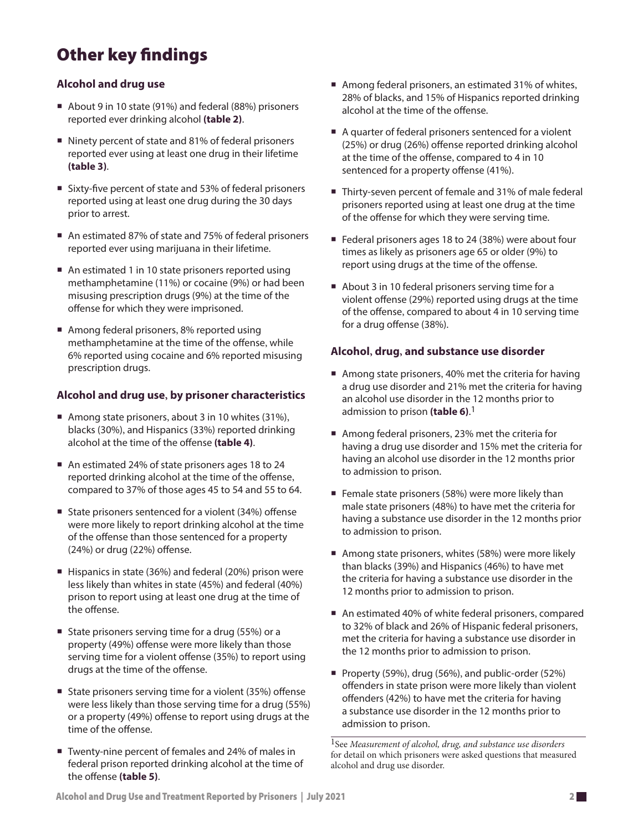## Other key findings

### **Alcohol and drug use**

- About 9 in 10 state (91%) and federal (88%) prisoners reported ever drinking alcohol **(table 2)**.
- Ninety percent of state and 81% of federal prisoners reported ever using at least one drug in their lifetime **(table 3)**.
- Sixty-five percent of state and 53% of federal prisoners reported using at least one drug during the 30 days prior to arrest.
- An estimated 87% of state and 75% of federal prisoners reported ever using marijuana in their lifetime.
- An estimated 1 in 10 state prisoners reported using methamphetamine (11%) or cocaine (9%) or had been misusing prescription drugs (9%) at the time of the offense for which they were imprisoned.
- Among federal prisoners, 8% reported using methamphetamine at the time of the offense, while 6% reported using cocaine and 6% reported misusing prescription drugs.

### **Alcohol and drug use, by prisoner characteristics**

- Among state prisoners, about 3 in 10 whites (31%), blacks (30%), and Hispanics (33%) reported drinking alcohol at the time of the offense **(table 4)**.
- An estimated 24% of state prisoners ages 18 to 24 reported drinking alcohol at the time of the offense, compared to 37% of those ages 45 to 54 and 55 to 64.
- State prisoners sentenced for a violent (34%) offense were more likely to report drinking alcohol at the time of the offense than those sentenced for a property (24%) or drug (22%) offense.
- Hispanics in state (36%) and federal (20%) prison were less likely than whites in state (45%) and federal (40%) prison to report using at least one drug at the time of the offense.
- State prisoners serving time for a drug  $(55%)$  or a property (49%) offense were more likely than those serving time for a violent offense (35%) to report using drugs at the time of the offense.
- State prisoners serving time for a violent (35%) offense were less likely than those serving time for a drug (55%) or a property (49%) offense to report using drugs at the time of the offense.
- Twenty-nine percent of females and 24% of males in federal prison reported drinking alcohol at the time of the offense **(table 5)**.
- Among federal prisoners, an estimated 31% of whites, 28% of blacks, and 15% of Hispanics reported drinking alcohol at the time of the offense.
- A quarter of federal prisoners sentenced for a violent (25%) or drug (26%) offense reported drinking alcohol at the time of the offense, compared to 4 in 10 sentenced for a property offense (41%).
- Thirty-seven percent of female and 31% of male federal prisoners reported using at least one drug at the time of the offense for which they were serving time.
- Federal prisoners ages 18 to 24 (38%) were about four times as likely as prisoners age 65 or older (9%) to report using drugs at the time of the offense.
- About 3 in 10 federal prisoners serving time for a violent offense (29%) reported using drugs at the time of the offense, compared to about 4 in 10 serving time for a drug offense (38%).

### **Alcohol, drug, and substance use disorder**

- Among state prisoners, 40% met the criteria for having a drug use disorder and 21% met the criteria for having an alcohol use disorder in the 12 months prior to admission to prison **(table 6)**. 1
- Among federal prisoners, 23% met the criteria for having a drug use disorder and 15% met the criteria for having an alcohol use disorder in the 12 months prior to admission to prison.
- Female state prisoners (58%) were more likely than male state prisoners (48%) to have met the criteria for having a substance use disorder in the 12 months prior to admission to prison.
- Among state prisoners, whites (58%) were more likely than blacks (39%) and Hispanics (46%) to have met the criteria for having a substance use disorder in the 12 months prior to admission to prison.
- An estimated 40% of white federal prisoners, compared to 32% of black and 26% of Hispanic federal prisoners, met the criteria for having a substance use disorder in the 12 months prior to admission to prison.
- Property (59%), drug (56%), and public-order (52%) offenders in state prison were more likely than violent offenders (42%) to have met the criteria for having a substance use disorder in the 12 months prior to admission to prison.

1See *[Measurement of alcohol, drug, and substance use disorders](#page-2-1)* for detail on which prisoners were asked questions that measured alcohol and drug use disorder.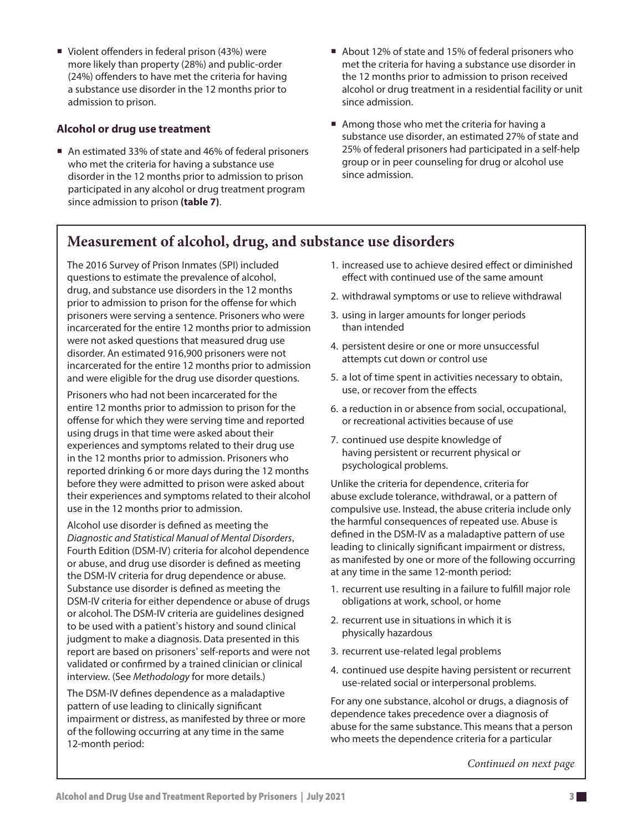<span id="page-2-1"></span>■ Violent offenders in federal prison (43%) were more likely than property (28%) and public-order (24%) offenders to have met the criteria for having a substance use disorder in the 12 months prior to admission to prison.

### **Alcohol or drug use treatment**

- An estimated 33% of state and 46% of federal prisoners who met the criteria for having a substance use disorder in the 12 months prior to admission to prison participated in any alcohol or drug treatment program since admission to prison **(table 7)**.
- About 12% of state and 15% of federal prisoners who met the criteria for having a substance use disorder in the 12 months prior to admission to prison received alcohol or drug treatment in a residential facility or unit since admission.
- Among those who met the criteria for having a substance use disorder, an estimated 27% of state and 25% of federal prisoners had participated in a self-help group or in peer counseling for drug or alcohol use since admission.

### <span id="page-2-0"></span>**Measurement of alcohol, drug, and substance use disorders**

The 2016 Survey of Prison Inmates (SPI) included questions to estimate the prevalence of alcohol, drug, and substance use disorders in the 12 months prior to admission to prison for the offense for which prisoners were serving a sentence. Prisoners who were incarcerated for the entire 12 months prior to admission were not asked questions that measured drug use disorder. An estimated 916,900 prisoners were not incarcerated for the entire 12 months prior to admission and were eligible for the drug use disorder questions.

Prisoners who had not been incarcerated for the entire 12 months prior to admission to prison for the offense for which they were serving time and reported using drugs in that time were asked about their experiences and symptoms related to their drug use in the 12 months prior to admission. Prisoners who reported drinking 6 or more days during the 12 months before they were admitted to prison were asked about their experiences and symptoms related to their alcohol use in the 12 months prior to admission.

Alcohol use disorder is defined as meeting the *Diagnostic and Statistical Manual of Mental Disorders*, Fourth Edition (DSM-IV) criteria for alcohol dependence or abuse, and drug use disorder is defined as meeting the DSM-IV criteria for drug dependence or abuse. Substance use disorder is defined as meeting the DSM-IV criteria for either dependence or abuse of drugs or alcohol. The DSM-IV criteria are guidelines designed to be used with a patient's history and sound clinical judgment to make a diagnosis. Data presented in this report are based on prisoners' self-reports and were not validated or confirmed by a trained clinician or clinical interview. (See *Methodology* for more details.)

The DSM-IV defines dependence as a maladaptive pattern of use leading to clinically significant impairment or distress, as manifested by three or more of the following occurring at any time in the same 12-month period:

- 1. increased use to achieve desired effect or diminished effect with continued use of the same amount
- 2. withdrawal symptoms or use to relieve withdrawal
- 3. using in larger amounts for longer periods than intended
- 4. persistent desire or one or more unsuccessful attempts cut down or control use
- 5. a lot of time spent in activities necessary to obtain, use, or recover from the effects
- 6. a reduction in or absence from social, occupational, or recreational activities because of use
- 7. continued use despite knowledge of having persistent or recurrent physical or psychological problems.

Unlike the criteria for dependence, criteria for abuse exclude tolerance, withdrawal, or a pattern of compulsive use. Instead, the abuse criteria include only the harmful consequences of repeated use. Abuse is defined in the DSM-IV as a maladaptive pattern of use leading to clinically significant impairment or distress, as manifested by one or more of the following occurring at any time in the same 12-month period:

- 1. recurrent use resulting in a failure to fulfill major role obligations at work, school, or home
- 2. recurrent use in situations in which it is physically hazardous
- 3. recurrent use-related legal problems
- 4. continued use despite having persistent or recurrent use-related social or interpersonal problems.

For any one substance, alcohol or drugs, a diagnosis of dependence takes precedence over a diagnosis of abuse for the same substance. This means that a person who meets the dependence criteria for a particular

*Continued on next page*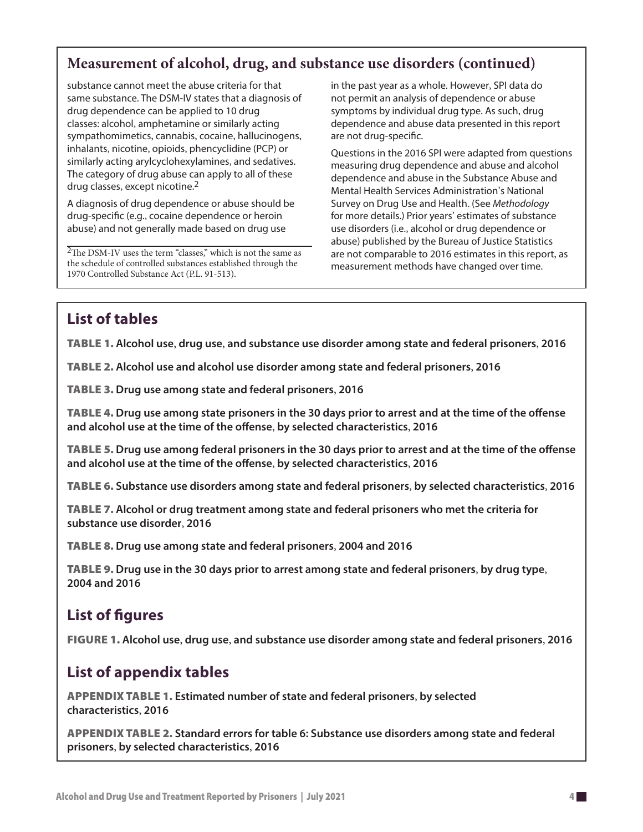### **Measurement of alcohol, drug, and substance use disorders (continued)**

substance cannot meet the abuse criteria for that same substance. The DSM-IV states that a diagnosis of drug dependence can be applied to 10 drug classes: alcohol, amphetamine or similarly acting sympathomimetics, cannabis, cocaine, hallucinogens, inhalants, nicotine, opioids, phencyclidine (PCP) or similarly acting arylcyclohexylamines, and sedatives. The category of drug abuse can apply to all of these drug classes, except nicotine.2

A diagnosis of drug dependence or abuse should be drug-specific (e.g., cocaine dependence or heroin abuse) and not generally made based on drug use

2The DSM-IV uses the term "classes," which is not the same as the schedule of controlled substances established through the 1970 Controlled Substance Act (P.L. 91-513).

in the past year as a whole. However, SPI data do not permit an analysis of dependence or abuse symptoms by individual drug type. As such, drug dependence and abuse data presented in this report are not drug-specific.

Questions in the 2016 SPI were adapted from questions measuring drug dependence and abuse and alcohol dependence and abuse in the Substance Abuse and Mental Health Services Administration's National Survey on Drug Use and Health. (See *Methodology* for more details.) Prior years' estimates of substance use disorders (i.e., alcohol or drug dependence or abuse) published by the Bureau of Justice Statistics are not comparable to 2016 estimates in this report, as measurement methods have changed over time.

### **List of tables**

Table 1. **Alcohol use**, **drug use**, **and substance use disorder among state and federal prisoners**, **2016**

Table 2. **Alcohol use and alcohol use disorder among state and federal prisoners**, **2016**

Table 3. **Drug use among state and federal prisoners**, **2016**

Table 4. **Drug use among state prisoners in the 30 days prior to arrest and at the time of the offense and alcohol use at the time of the offense**, **by selected characteristics**, **2016**

Table 5. **Drug use among federal prisoners in the 30 days prior to arrest and at the time of the offense and alcohol use at the time of the offense**, **by selected characteristics**, **2016**

Table 6. **Substance use disorders among state and federal prisoners**, **by selected characteristics**, **2016** 

Table 7. **Alcohol or drug treatment among state and federal prisoners who met the criteria for substance use disorder**, **2016**

Table 8. **Drug use among state and federal prisoners**, **2004 and 2016**

Table 9. **Drug use in the 30 days prior to arrest among state and federal prisoners**, **by drug type**, **2004 and 2016**

### **List of figures**

Figure 1. **Alcohol use**, **drug use**, **and substance use disorder among state and federal prisoners**, **2016**

### **List of appendix tables**

Appendix table 1. **Estimated number of state and federal prisoners**, **by selected characteristics**, **2016** 

Appendix table 2. **Standard errors for table 6: Substance use disorders among state and federal prisoners**, **by selected characteristics**, **2016**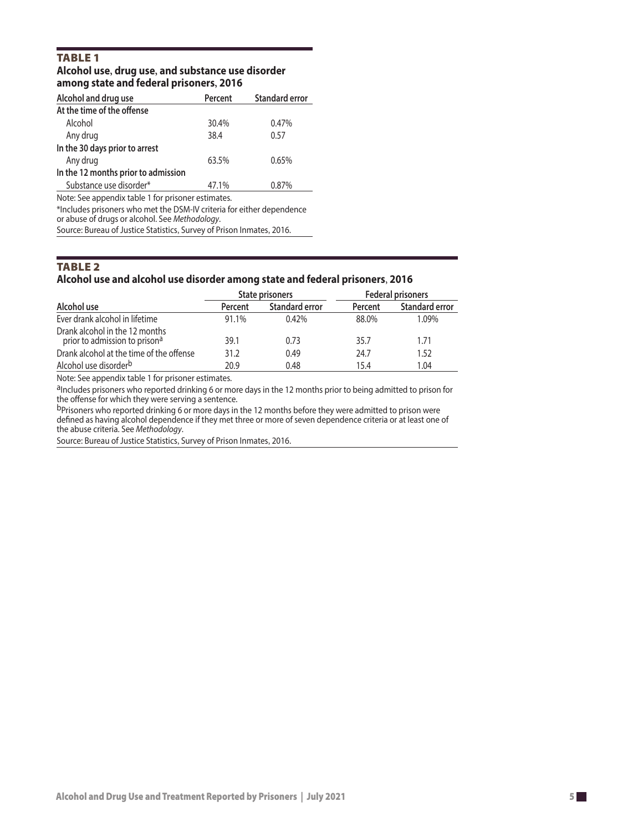### **TABLE 1 Alcohol use, drug use, and substance use disorder among state and federal prisoners, 2016**

| Alcohol and drug use                               | Percent | <b>Standard error</b> |
|----------------------------------------------------|---------|-----------------------|
| At the time of the offense                         |         |                       |
| Alcohol                                            | 30.4%   | 0.47%                 |
| Any drug                                           | 38.4    | 0.57                  |
| In the 30 days prior to arrest                     |         |                       |
| Any drug                                           | 63.5%   | 0.65%                 |
| In the 12 months prior to admission                |         |                       |
| Substance use disorder*                            | 47.1%   | 0.87%                 |
| Note: See appendix table 1 for prisoner estimates. |         |                       |

\*Includes prisoners who met the DSM-IV criteria for either dependence or abuse of drugs or alcohol. See *Methodology*.

Source: Bureau of Justice Statistics, Survey of Prison Inmates, 2016.

### **TABLE 2 Alcohol use and alcohol use disorder among state and federal prisoners**, **2016**

|                                                                 |         | State prisoners       | <b>Federal prisoners</b> |                       |  |
|-----------------------------------------------------------------|---------|-----------------------|--------------------------|-----------------------|--|
| Alcohol use                                                     | Percent | <b>Standard error</b> | Percent                  | <b>Standard error</b> |  |
| Ever drank alcohol in lifetime                                  | 91.1%   | $0.42\%$              | 88.0%                    | 1.09%                 |  |
| Drank alcohol in the 12 months<br>prior to admission to prisona | 39.1    | 0.73                  | 35.7                     | 1.71                  |  |
| Drank alcohol at the time of the offense                        | 31.2    | 0.49                  | 24.7                     | 1.52                  |  |
| Alcohol use disorder <sup>b</sup>                               | 20.9    | 0.48                  | 15.4                     | 1.04                  |  |

Note: See appendix table 1 for prisoner estimates.

aIncludes prisoners who reported drinking 6 or more days in the 12 months prior to being admitted to prison for the offense for which they were serving a sentence.

bprisoners who reported drinking 6 or more days in the 12 months before they were admitted to prison were defined as having alcohol dependence if they met three or more of seven dependence criteria or at least one of the abuse criteria. See *Methodology*.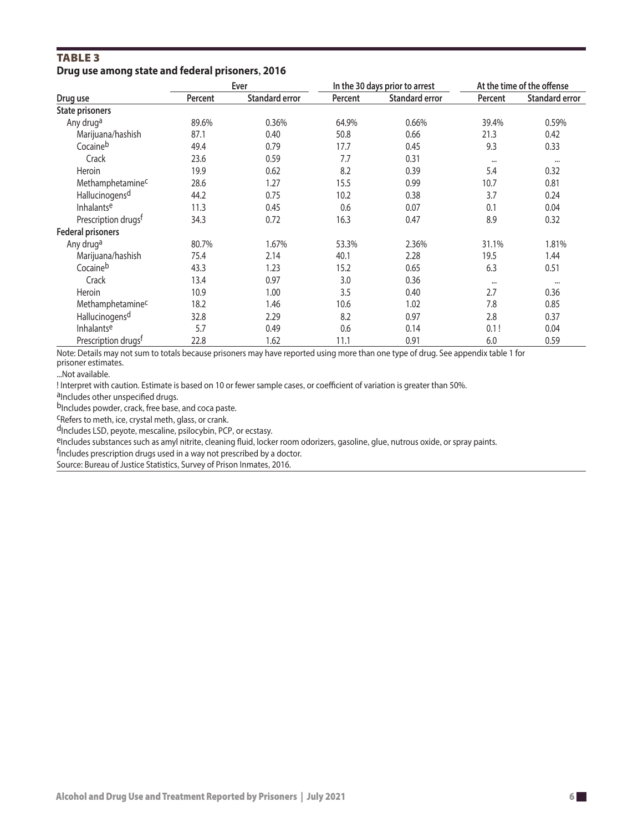### **TABLE 3 Drug use among state and federal prisoners, 2016**

|                                 | Ever    |                       |         | In the 30 days prior to arrest | At the time of the offense |                       |
|---------------------------------|---------|-----------------------|---------|--------------------------------|----------------------------|-----------------------|
| Drug use                        | Percent | <b>Standard error</b> | Percent | <b>Standard error</b>          | Percent                    | <b>Standard error</b> |
| <b>State prisoners</b>          |         |                       |         |                                |                            |                       |
| Any druga                       | 89.6%   | 0.36%                 | 64.9%   | 0.66%                          | 39.4%                      | 0.59%                 |
| Marijuana/hashish               | 87.1    | 0.40                  | 50.8    | 0.66                           | 21.3                       | 0.42                  |
| Cocaineb                        | 49.4    | 0.79                  | 17.7    | 0.45                           | 9.3                        | 0.33                  |
| Crack                           | 23.6    | 0.59                  | 7.7     | 0.31                           | $\cdots$                   | $\cdots$              |
| Heroin                          | 19.9    | 0.62                  | 8.2     | 0.39                           | 5.4                        | 0.32                  |
| Methamphetamine <sup>c</sup>    | 28.6    | 1.27                  | 15.5    | 0.99                           | 10.7                       | 0.81                  |
| Hallucinogens <sup>d</sup>      | 44.2    | 0.75                  | 10.2    | 0.38                           | 3.7                        | 0.24                  |
| Inhalantse                      | 11.3    | 0.45                  | 0.6     | 0.07                           | 0.1                        | 0.04                  |
| Prescription drugs <sup>f</sup> | 34.3    | 0.72                  | 16.3    | 0.47                           | 8.9                        | 0.32                  |
| <b>Federal prisoners</b>        |         |                       |         |                                |                            |                       |
| Any druga                       | 80.7%   | 1.67%                 | 53.3%   | 2.36%                          | 31.1%                      | 1.81%                 |
| Marijuana/hashish               | 75.4    | 2.14                  | 40.1    | 2.28                           | 19.5                       | 1.44                  |
| Cocaineb                        | 43.3    | 1.23                  | 15.2    | 0.65                           | 6.3                        | 0.51                  |
| Crack                           | 13.4    | 0.97                  | 3.0     | 0.36                           | $\cdots$                   | $\cdots$              |
| Heroin                          | 10.9    | 1.00                  | 3.5     | 0.40                           | 2.7                        | 0.36                  |
| Methamphetaminec                | 18.2    | 1.46                  | 10.6    | 1.02                           | 7.8                        | 0.85                  |
| Hallucinogens <sup>d</sup>      | 32.8    | 2.29                  | 8.2     | 0.97                           | 2.8                        | 0.37                  |
| Inhalantse                      | 5.7     | 0.49                  | 0.6     | 0.14                           | 0.1!                       | 0.04                  |
| Prescription drugs <sup>f</sup> | 22.8    | 1.62                  | 11.1    | 0.91                           | 6.0                        | 0.59                  |

Note: Details may not sum to totals because prisoners may have reported using more than one type of drug. See appendix table 1 for prisoner estimates.

...Not available.

! Interpret with caution. Estimate is based on 10 or fewer sample cases, or coefficient of variation is greater than 50%.

aIncludes other unspecified drugs.

bIncludes powder, crack, free base, and coca paste.<br><sup>C</sup>Refers to meth, ice, crystal meth, glass, or crank.

d<sub>Includes</sub> LSD, peyote, mescaline, psilocybin, PCP, or ecstasy.

eIncludes substances such as amyl nitrite, cleaning fluid, locker room odorizers, gasoline, glue, nutrous oxide, or spray paints.

<sup>f</sup>Includes prescription drugs used in a way not prescribed by a doctor.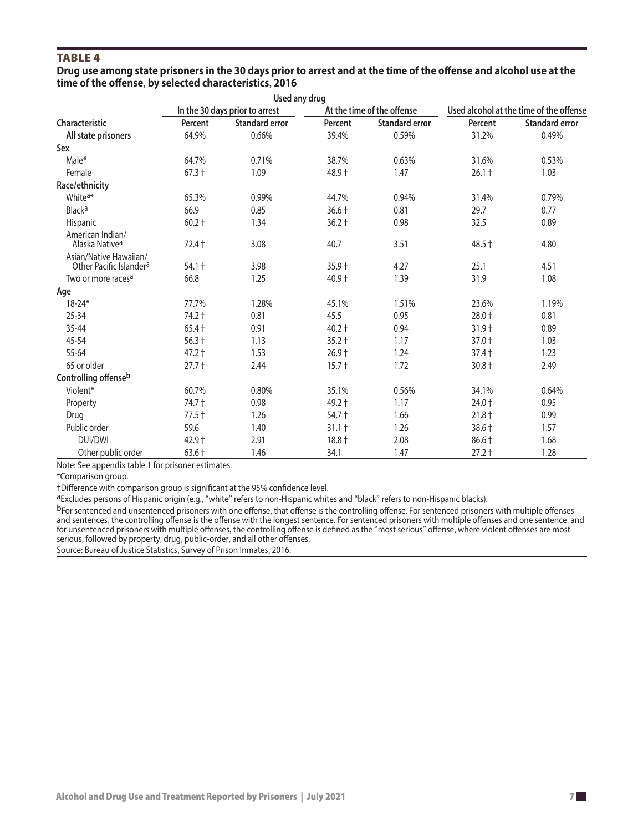### **TABLE 4**

#### **Drug use among state prisoners in the 30 days prior to arrest and at the time of the offense and alcohol use at the time of the offense by selected characteristics 2016 , ,**

|                                                               |          | Used any drug                  |          |                            |          |                                         |
|---------------------------------------------------------------|----------|--------------------------------|----------|----------------------------|----------|-----------------------------------------|
|                                                               |          | In the 30 days prior to arrest |          | At the time of the offense |          | Used alcohol at the time of the offense |
| Characteristic                                                | Percent  | <b>Standard error</b>          | Percent  | <b>Standard error</b>      | Percent  | <b>Standard error</b>                   |
| All state prisoners                                           | 64.9%    | 0.66%                          | 39.4%    | 0.59%                      | 31.2%    | 0.49%                                   |
| Sex                                                           |          |                                |          |                            |          |                                         |
| Male*                                                         | 64.7%    | 0.71%                          | 38.7%    | 0.63%                      | 31.6%    | 0.53%                                   |
| Female                                                        | $67.3 +$ | 1.09                           | 48.9 +   | 1.47                       | $26.1 +$ | 1.03                                    |
| Race/ethnicity                                                |          |                                |          |                            |          |                                         |
| White <sup>a*</sup>                                           | 65.3%    | 0.99%                          | 44.7%    | 0.94%                      | 31.4%    | 0.79%                                   |
| <b>Black<sup>a</sup></b>                                      | 66.9     | 0.85                           | $36.6 +$ | 0.81                       | 29.7     | 0.77                                    |
| Hispanic                                                      | $60.2 +$ | 1.34                           | $36.2 +$ | 0.98                       | 32.5     | 0.89                                    |
| American Indian/<br>Alaska Native <sup>a</sup>                | 72.4 +   | 3.08                           | 40.7     | 3.51                       | $48.5 +$ | 4.80                                    |
| Asian/Native Hawaiian/<br>Other Pacific Islander <sup>a</sup> | $54.1 +$ | 3.98                           | $35.9 +$ | 4.27                       | 25.1     | 4.51                                    |
| Two or more races <sup>a</sup>                                | 66.8     | 1.25                           | $40.9 +$ | 1.39                       | 31.9     | 1.08                                    |
| Age                                                           |          |                                |          |                            |          |                                         |
| $18 - 24*$                                                    | 77.7%    | 1.28%                          | 45.1%    | 1.51%                      | 23.6%    | 1.19%                                   |
| $25 - 34$                                                     | 74.2 +   | 0.81                           | 45.5     | 0.95                       | $28.0 +$ | 0.81                                    |
| 35-44                                                         | $65.4 +$ | 0.91                           | $40.2 +$ | 0.94                       | $31.9 +$ | 0.89                                    |
| 45-54                                                         | $56.3 +$ | 1.13                           | $35.2 +$ | 1.17                       | $37.0 +$ | 1.03                                    |
| 55-64                                                         | $47.2 +$ | 1.53                           | $26.9 +$ | 1.24                       | $37.4 +$ | 1.23                                    |
| 65 or older                                                   | $27.7+$  | 2.44                           | $15.7 +$ | 1.72                       | $30.8 +$ | 2.49                                    |
| Controlling offenseb                                          |          |                                |          |                            |          |                                         |
| Violent*                                                      | 60.7%    | 0.80%                          | 35.1%    | 0.56%                      | 34.1%    | 0.64%                                   |
| Property                                                      | 74.7 +   | 0.98                           | 49.2 +   | 1.17                       | 24.0 +   | 0.95                                    |
| Drug                                                          | $77.5 +$ | 1.26                           | 54.7 +   | 1.66                       | $21.8 +$ | 0.99                                    |
| Public order                                                  | 59.6     | 1.40                           | $31.1 +$ | 1.26                       | 38.6 +   | 1.57                                    |
| <b>DUI/DWI</b>                                                | $42.9 +$ | 2.91                           | $18.8 +$ | 2.08                       | $86.6 +$ | 1.68                                    |
| Other public order                                            | $63.6+$  | 1.46                           | 34.1     | 1.47                       | $27.2 +$ | 1.28                                    |

Note: See appendix table 1 for prisoner estimates.

\*Comparison group.

†Difference with comparison group is significant at the 95% confidence level.

aExcludes persons of Hispanic origin (e.g., "white" refers to non-Hispanic whites and "black" refers to non-Hispanic blacks).

bFor sentenced and unsentenced prisoners with one offense, that offense is the controlling offense. For sentenced prisoners with multiple offenses and sentences, the controlling offense is the offense with the longest sentence. For sentenced prisoners with multiple offenses and one sentence, and and sentences, the controlling offense is the offense with the longest s for unsentenced prisoners with multiple offenses, the controlling offense is defined as the "most serious" offense, where violent offenses are most serious, followed by property, drug, public-order, and all other offenses.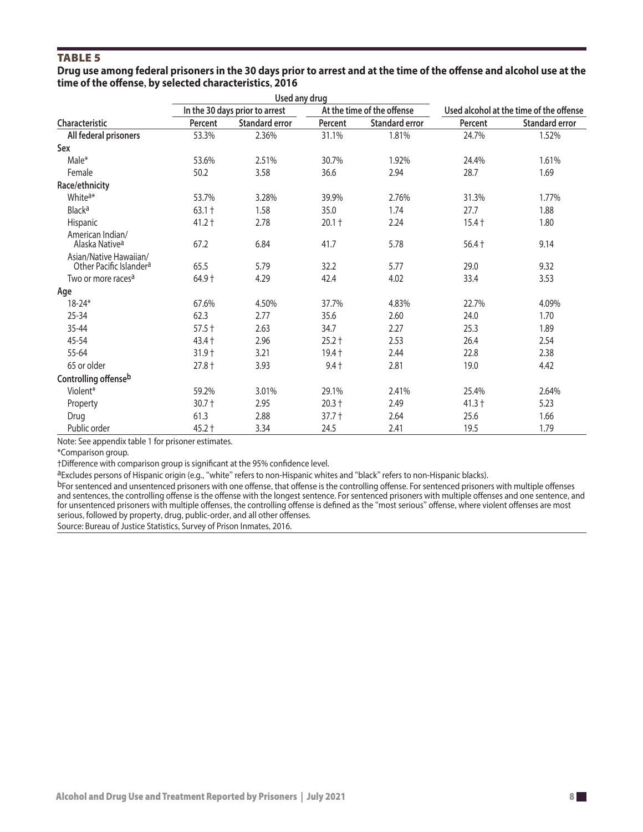### **TABLE 5**

#### **Drug use among federal prisoners in the 30 days prior to arrest and at the time of the offense and alcohol use at the time of the offense, by selected characteristics, 2016**

|                                                               |          | Used any drug                  |          |                            |          |                                         |
|---------------------------------------------------------------|----------|--------------------------------|----------|----------------------------|----------|-----------------------------------------|
|                                                               |          | In the 30 days prior to arrest |          | At the time of the offense |          | Used alcohol at the time of the offense |
| Characteristic                                                | Percent  | <b>Standard error</b>          | Percent  | <b>Standard error</b>      | Percent  | <b>Standard error</b>                   |
| All federal prisoners                                         | 53.3%    | 2.36%                          | 31.1%    | 1.81%                      | 24.7%    | 1.52%                                   |
| Sex                                                           |          |                                |          |                            |          |                                         |
| Male*                                                         | 53.6%    | 2.51%                          | 30.7%    | 1.92%                      | 24.4%    | 1.61%                                   |
| Female                                                        | 50.2     | 3.58                           | 36.6     | 2.94                       | 28.7     | 1.69                                    |
| Race/ethnicity                                                |          |                                |          |                            |          |                                         |
| White <sup>a*</sup>                                           | 53.7%    | 3.28%                          | 39.9%    | 2.76%                      | 31.3%    | 1.77%                                   |
| <b>Black<sup>a</sup></b>                                      | $63.1 +$ | 1.58                           | 35.0     | 1.74                       | 27.7     | 1.88                                    |
| Hispanic                                                      | $41.2 +$ | 2.78                           | $20.1 +$ | 2.24                       | $15.4 +$ | 1.80                                    |
| American Indian/<br>Alaska Native <sup>a</sup>                | 67.2     | 6.84                           | 41.7     | 5.78                       | $56.4 +$ | 9.14                                    |
| Asian/Native Hawaiian/<br>Other Pacific Islander <sup>a</sup> | 65.5     | 5.79                           | 32.2     | 5.77                       | 29.0     | 9.32                                    |
| Two or more races <sup>a</sup>                                | 64.9 +   | 4.29                           | 42.4     | 4.02                       | 33.4     | 3.53                                    |
| Age                                                           |          |                                |          |                            |          |                                         |
| $18 - 24*$                                                    | 67.6%    | 4.50%                          | 37.7%    | 4.83%                      | 22.7%    | 4.09%                                   |
| $25 - 34$                                                     | 62.3     | 2.77                           | 35.6     | 2.60                       | 24.0     | 1.70                                    |
| 35-44                                                         | $57.5 +$ | 2.63                           | 34.7     | 2.27                       | 25.3     | 1.89                                    |
| 45-54                                                         | $43.4 +$ | 2.96                           | $25.2 +$ | 2.53                       | 26.4     | 2.54                                    |
| 55-64                                                         | $31.9 +$ | 3.21                           | $19.4 +$ | 2.44                       | 22.8     | 2.38                                    |
| 65 or older                                                   | $27.8 +$ | 3.93                           | $9.4 +$  | 2.81                       | 19.0     | 4.42                                    |
| Controlling offenseb                                          |          |                                |          |                            |          |                                         |
| Violent*                                                      | 59.2%    | 3.01%                          | 29.1%    | 2.41%                      | 25.4%    | 2.64%                                   |
| Property                                                      | $30.7 +$ | 2.95                           | $20.3 +$ | 2.49                       | $41.3 +$ | 5.23                                    |
| Drug                                                          | 61.3     | 2.88                           | $37.7 +$ | 2.64                       | 25.6     | 1.66                                    |
| Public order                                                  | $45.2 +$ | 3.34                           | 24.5     | 2.41                       | 19.5     | 1.79                                    |

Note: See appendix table 1 for prisoner estimates.

\*Comparison group.

†Difference with comparison group is significant at the 95% confidence level.

aExcludes persons of Hispanic origin (e.g., "white" refers to non-Hispanic whites and "black" refers to non-Hispanic blacks).

bFor sentenced and unsentenced prisoners with one offense, that offense is the controlling offense. For sentenced prisoners with multiple offenses and sentences, the controlling offense is the offense with the longest sentence. For sentenced prisoners with multiple offenses and one sentence, and for unsentenced prisoners with multiple offenses, the controlling offense is defined as the "most serious" offense, where violent offenses are most serious, followed by property, drug, public-order, and all other offenses.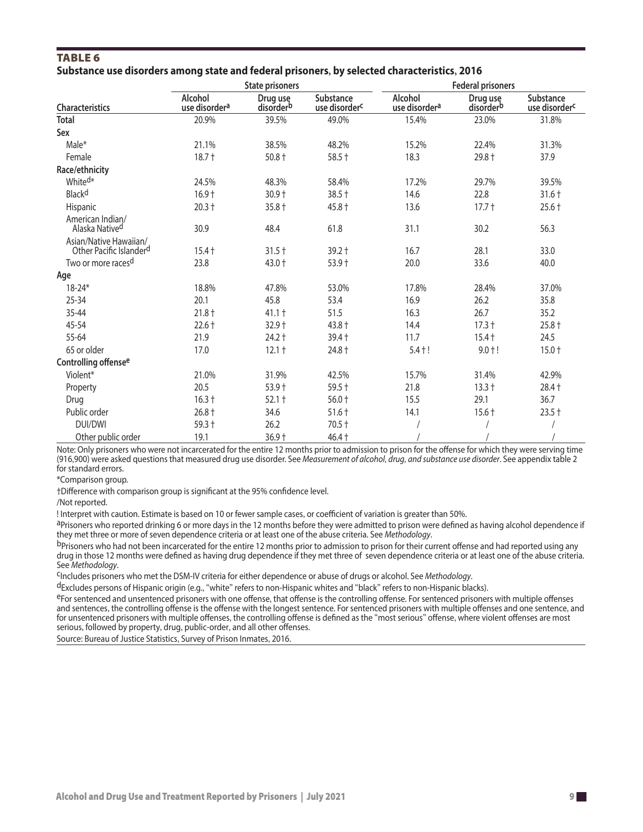### **TABLE 6 Substance use disorders among state and federal prisoners, by selected characteristics, 2016**

|                                                               |                                      | <b>State prisoners</b> |                                               | <b>Federal prisoners</b>             |                                   |                                        |
|---------------------------------------------------------------|--------------------------------------|------------------------|-----------------------------------------------|--------------------------------------|-----------------------------------|----------------------------------------|
| Characteristics                                               | Alcohol<br>use disorder <sup>a</sup> | Drug use<br>disorderb  | <b>Substance</b><br>use disorder <sup>c</sup> | Alcohol<br>use disorder <sup>a</sup> | Drug use<br>disorder <sup>b</sup> | Substance<br>use disorder <sup>c</sup> |
| <b>Total</b>                                                  | 20.9%                                | 39.5%                  | 49.0%                                         | 15.4%                                | 23.0%                             | 31.8%                                  |
| Sex                                                           |                                      |                        |                                               |                                      |                                   |                                        |
| Male*                                                         | 21.1%                                | 38.5%                  | 48.2%                                         | 15.2%                                | 22.4%                             | 31.3%                                  |
| Female                                                        | $18.7 +$                             | $50.8 +$               | $58.5 +$                                      | 18.3                                 | 29.8 +                            | 37.9                                   |
| Race/ethnicity                                                |                                      |                        |                                               |                                      |                                   |                                        |
| White <sup>d*</sup>                                           | 24.5%                                | 48.3%                  | 58.4%                                         | 17.2%                                | 29.7%                             | 39.5%                                  |
| Black <sup>d</sup>                                            | $16.9 +$                             | $30.9 +$               | $38.5 +$                                      | 14.6                                 | 22.8                              | $31.6 +$                               |
| Hispanic                                                      | $20.3 +$                             | $35.8 +$               | $45.8 +$                                      | 13.6                                 | $17.7 +$                          | $25.6 +$                               |
| American Indian/<br>Alaska Native <sup>d</sup>                | 30.9                                 | 48.4                   | 61.8                                          | 31.1                                 | 30.2                              | 56.3                                   |
| Asian/Native Hawaiian/<br>Other Pacific Islander <sup>d</sup> | $15.4 +$                             | $31.5 +$               | $39.2 +$                                      | 16.7                                 | 28.1                              | 33.0                                   |
| Two or more races <sup>d</sup>                                | 23.8                                 | 43.0 +                 | $53.9 +$                                      | 20.0                                 | 33.6                              | 40.0                                   |
| Age                                                           |                                      |                        |                                               |                                      |                                   |                                        |
| $18 - 24*$                                                    | 18.8%                                | 47.8%                  | 53.0%                                         | 17.8%                                | 28.4%                             | 37.0%                                  |
| $25 - 34$                                                     | 20.1                                 | 45.8                   | 53.4                                          | 16.9                                 | 26.2                              | 35.8                                   |
| 35-44                                                         | $21.8 +$                             | $41.1 +$               | 51.5                                          | 16.3                                 | 26.7                              | 35.2                                   |
| 45-54                                                         | $22.6 +$                             | 32.9 †                 | 43.8 +                                        | 14.4                                 | $17.3 +$                          | $25.8 +$                               |
| 55-64                                                         | 21.9                                 | $24.2 +$               | $39.4 +$                                      | 11.7                                 | $15.4 +$                          | 24.5                                   |
| 65 or older                                                   | 17.0                                 | $12.1 +$               | 24.8 +                                        | $5.4 + !$                            | $9.0 + !$                         | $15.0 +$                               |
| Controlling offense <sup>e</sup>                              |                                      |                        |                                               |                                      |                                   |                                        |
| Violent*                                                      | 21.0%                                | 31.9%                  | 42.5%                                         | 15.7%                                | 31.4%                             | 42.9%                                  |
| Property                                                      | 20.5                                 | $53.9 +$               | $59.5 +$                                      | 21.8                                 | $13.3 +$                          | $28.4 +$                               |
| Drug                                                          | $16.3 +$                             | $52.1 +$               | $56.0 +$                                      | 15.5                                 | 29.1                              | 36.7                                   |
| Public order                                                  | $26.8 +$                             | 34.6                   | $51.6 +$                                      | 14.1                                 | $15.6 +$                          | $23.5 +$                               |
| <b>DUI/DWI</b>                                                | 59.3 +                               | 26.2                   | $70.5 +$                                      |                                      |                                   |                                        |
| Other public order                                            | 19.1                                 | 36.9 +                 | $46.4 +$                                      |                                      |                                   |                                        |

Note: Only prisoners who were not incarcerated for the entire 12 months prior to admission to prison for the offense for which they were serving time (916,900) were asked questions that measured drug use disorder. See *Measurement of alcohol, drug, [and substance use disorder](#page-2-0)*. See appendix table 2 for standard errors.

\*Comparison group.

†Difference with comparison group is significant at the 95% confidence level.

/Not reported.

! Interpret with caution. Estimate is based on 10 or fewer sample cases, or coefficient of variation is greater than 50%.

aPrisoners who reported drinking 6 or more days in the 12 months before they were admitted to prison were defined as having alcohol dependence if they met three or more of seven dependence criteria or at least one of the abuse criteria. See *Methodology*.

b Prisoners who had not been incarcerated for the entire 12 months prior to admission to prison for their current offense and had reported using any drug in those 12 months were defined as having drug dependence if they met three of seven dependence criteria or at least one of the abuse criteria. See *Methodology*.

cIncludes prisoners who met the DSM-IV criteria for either dependence or abuse of drugs or alcohol. See *Methodology*.

dExcludes persons of Hispanic origin (e.g., "white" refers to non-Hispanic whites and "black" refers to non-Hispanic blacks).

eFor sentenced and unsentenced prisoners with one offense, that offense is the controlling offense. For sentenced prisoners with multiple offenses and sentences, the controlling offense is the offense with the longest sentence. For sentenced prisoners with multiple offenses and one sentence, and for unsentenced prisoners with multiple offenses, the controlling offense is defined as the "most serious" offense, where violent offenses are most serious, followed by property, drug, public-order, and all other offenses.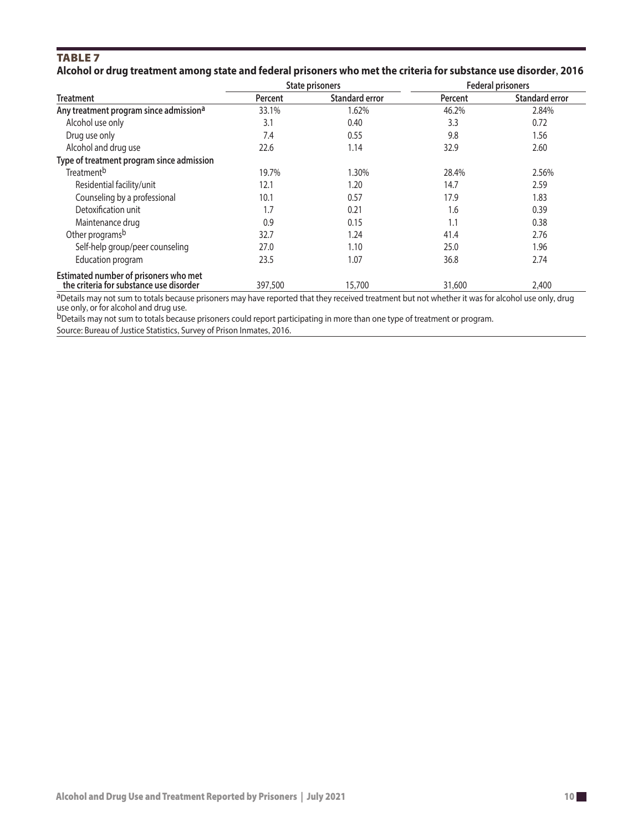### **TABLE 7 Alcohol or drug treatment among state and federal prisoners who met the criteria for substance use disorder, 2016**

|                                                                                  |         | <b>State prisoners</b> | <b>Federal prisoners</b> |                       |  |
|----------------------------------------------------------------------------------|---------|------------------------|--------------------------|-----------------------|--|
| <b>Treatment</b>                                                                 | Percent | <b>Standard error</b>  | Percent                  | <b>Standard error</b> |  |
| Any treatment program since admission <sup>a</sup>                               | 33.1%   | 1.62%                  | 46.2%                    | 2.84%                 |  |
| Alcohol use only                                                                 | 3.1     | 0.40                   | 3.3                      | 0.72                  |  |
| Drug use only                                                                    | 7.4     | 0.55                   | 9.8                      | 1.56                  |  |
| Alcohol and drug use                                                             | 22.6    | 1.14                   | 32.9                     | 2.60                  |  |
| Type of treatment program since admission                                        |         |                        |                          |                       |  |
| Treatment <sup>b</sup>                                                           | 19.7%   | 1.30%                  | 28.4%                    | 2.56%                 |  |
| Residential facility/unit                                                        | 12.1    | 1.20                   | 14.7                     | 2.59                  |  |
| Counseling by a professional                                                     | 10.1    | 0.57                   | 17.9                     | 1.83                  |  |
| Detoxification unit                                                              | 1.7     | 0.21                   | 1.6                      | 0.39                  |  |
| Maintenance drug                                                                 | 0.9     | 0.15                   | 1.1                      | 0.38                  |  |
| Other programs <sup>b</sup>                                                      | 32.7    | 1.24                   | 41.4                     | 2.76                  |  |
| Self-help group/peer counseling                                                  | 27.0    | 1.10                   | 25.0                     | 1.96                  |  |
| Education program                                                                | 23.5    | 1.07                   | 36.8                     | 2.74                  |  |
| Estimated number of prisoners who met<br>the criteria for substance use disorder | 397,500 | 15,700                 | 31,600                   | 2,400                 |  |

aDetails may not sum to totals because prisoners may have reported that they received treatment but not whether it was for alcohol use only, drug use only, or for alcohol and drug use.

bDetails may not sum to totals because prisoners could report participating in more than one type of treatment or program. Source: Bureau of Justice Statistics, Survey of Prison Inmates, 2016.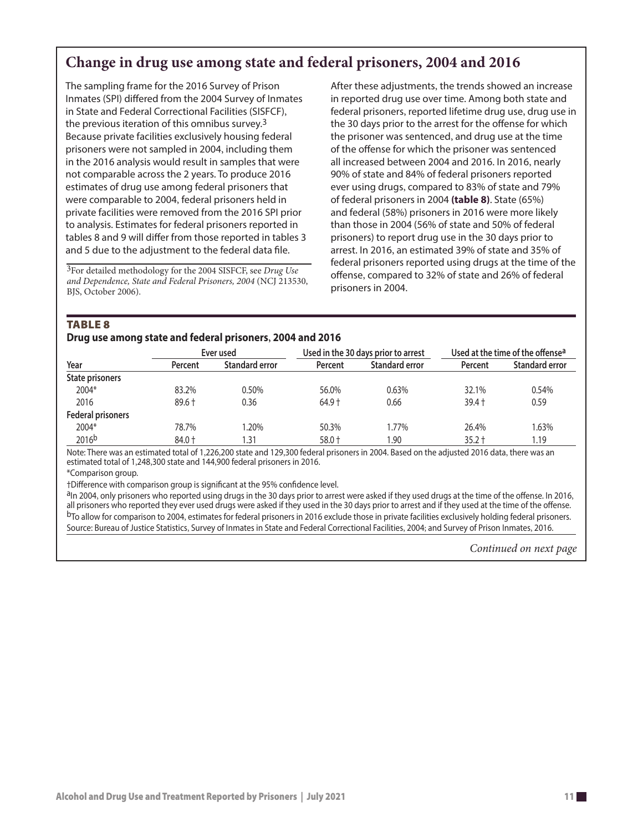### **Change in drug use among state and federal prisoners, 2004 and 2016**

The sampling frame for the 2016 Survey of Prison Inmates (SPI) differed from the 2004 Survey of Inmates in State and Federal Correctional Facilities (SISFCF), the previous iteration of this omnibus survey.<sup>3</sup> Because private facilities exclusively housing federal prisoners were not sampled in 2004, including them in the 2016 analysis would result in samples that were not comparable across the 2 years. To produce 2016 estimates of drug use among federal prisoners that were comparable to 2004, federal prisoners held in private facilities were removed from the 2016 SPI prior to analysis. Estimates for federal prisoners reported in tables 8 and 9 will differ from those reported in tables 3 and 5 due to the adjustment to the federal data file.

3For detailed methodology for the 2004 SISFCF, see *Drug Use and Dependence, State and Federal Prisoners, 2004* (NCJ 213530, BJS, October 2006).

After these adjustments, the trends showed an increase in reported drug use over time. Among both state and federal prisoners, reported lifetime drug use, drug use in the 30 days prior to the arrest for the offense for which the prisoner was sentenced, and drug use at the time of the offense for which the prisoner was sentenced all increased between 2004 and 2016. In 2016, nearly 90% of state and 84% of federal prisoners reported ever using drugs, compared to 83% of state and 79% of federal prisoners in 2004 **(table 8)**. State (65%) and federal (58%) prisoners in 2016 were more likely than those in 2004 (56% of state and 50% of federal prisoners) to report drug use in the 30 days prior to arrest. In 2016, an estimated 39% of state and 35% of federal prisoners reported using drugs at the time of the offense, compared to 32% of state and 26% of federal prisoners in 2004.

#### **TABLE 8**

**Drug use among state and federal prisoners 2004 and 2016 ,**

| -                        |          | Ever used             |          | Used in the 30 days prior to arrest |          | Used at the time of the offense <sup>a</sup> |  |
|--------------------------|----------|-----------------------|----------|-------------------------------------|----------|----------------------------------------------|--|
| Year                     | Percent  | <b>Standard error</b> | Percent  | <b>Standard error</b>               | Percent  | Standard error                               |  |
| <b>State prisoners</b>   |          |                       |          |                                     |          |                                              |  |
| 2004*                    | 83.2%    | 0.50%                 | 56.0%    | 0.63%                               | 32.1%    | 0.54%                                        |  |
| 2016                     | $89.6 +$ | 0.36                  | $64.9 +$ | 0.66                                | $39.4 +$ | 0.59                                         |  |
| <b>Federal prisoners</b> |          |                       |          |                                     |          |                                              |  |
| 2004*                    | 78.7%    | 1.20%                 | 50.3%    | 1.77%                               | 26.4%    | 1.63%                                        |  |
| 2016 <sub>b</sub>        | 84.0 +   | l.31                  | 58.0 +   | 1.90                                | $35.2 +$ | 1.19                                         |  |

Note: There was an estimated total of 1,226,200 state and 129,300 federal prisoners in 2004. Based on the adjusted 2016 data, there was an estimated total of 1,248,300 state and 144,900 federal prisoners in 2016.

\*Comparison group.

†Difference with comparison group is significant at the 95% confidence level.

aIn 2004, only prisoners who reported using drugs in the 30 days prior to arrest were asked if they used drugs at the time of the offense. In 2016, all prisoners who reported they ever used drugs were asked if they used in the 30 days prior to arrest and if they used at the time of the offense. bTo allow for comparison to 2004, estimates for federal prisoners in 2016 exclude those in private facilities exclusively holding federal prisoners. Source: Bureau of Justice Statistics, Survey of Inmates in State and Federal Correctional Facilities, 2004; and Survey of Prison Inmates, 2016.

*Continued on next page*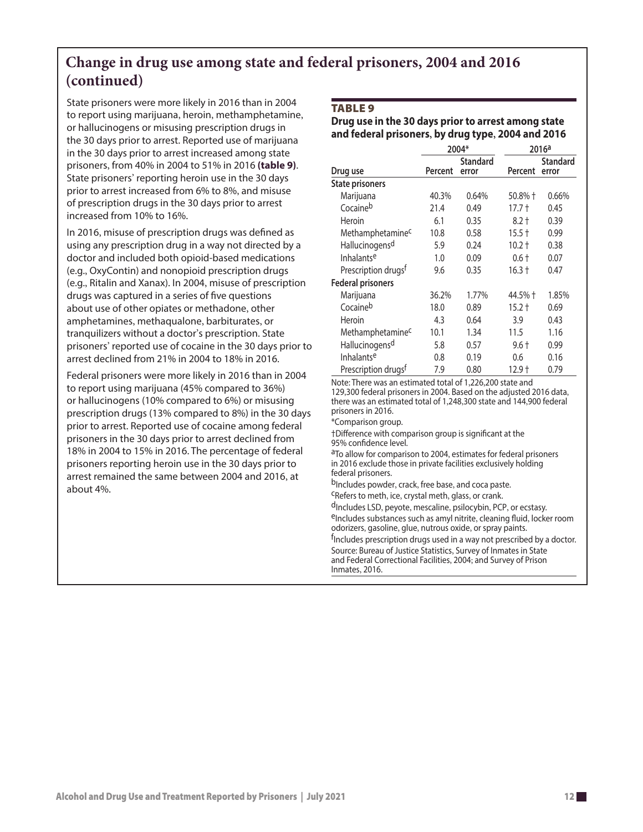### **Change in drug use among state and federal prisoners, 2004 and 2016 (continued)**

State prisoners were more likely in 2016 than in 2004 to report using marijuana, heroin, methamphetamine, or hallucinogens or misusing prescription drugs in the 30 days prior to arrest. Reported use of marijuana in the 30 days prior to arrest increased among state prisoners, from 40% in 2004 to 51% in 2016 **(table 9)**. State prisoners' reporting heroin use in the 30 days prior to arrest increased from 6% to 8%, and misuse of prescription drugs in the 30 days prior to arrest increased from 10% to 16%.

In 2016, misuse of prescription drugs was defined as using any prescription drug in a way not directed by a doctor and included both opioid-based medications (e.g., OxyContin) and nonopioid prescription drugs (e.g., Ritalin and Xanax). In 2004, misuse of prescription drugs was captured in a series of five questions about use of other opiates or methadone, other amphetamines, methaqualone, barbiturates, or tranquilizers without a doctor's prescription. State prisoners' reported use of cocaine in the 30 days prior to arrest declined from 21% in 2004 to 18% in 2016.

Federal prisoners were more likely in 2016 than in 2004 to report using marijuana (45% compared to 36%) or hallucinogens (10% compared to 6%) or misusing prescription drugs (13% compared to 8%) in the 30 days prior to arrest. Reported use of cocaine among federal prisoners in the 30 days prior to arrest declined from 18% in 2004 to 15% in 2016. The percentage of federal prisoners reporting heroin use in the 30 days prior to arrest remained the same between 2004 and 2016, at about 4%.

#### **TABLE 9**

### **Drug use in the 30 days prior to arrest among state and federal prisoners, by drug type, 2004 and 2016**

|                                 | 2004*   |                          | 2016a    |                          |
|---------------------------------|---------|--------------------------|----------|--------------------------|
| Drug use                        | Percent | <b>Standard</b><br>error | Percent  | <b>Standard</b><br>error |
| <b>State prisoners</b>          |         |                          |          |                          |
| Marijuana                       | 40.3%   | 0.64%                    | 50.8% †  | 0.66%                    |
| Cocaineb                        | 21.4    | 0.49                     | $17.7+$  | 0.45                     |
| Heroin                          | 6.1     | 0.35                     | $8.2 +$  | 0.39                     |
| Methamphetamine <sup>c</sup>    | 10.8    | 0.58                     | $15.5 +$ | 0.99                     |
| Hallucinogensd                  | 5.9     | 0.24                     | 10.2 †   | 0.38                     |
| Inhalantse                      | 1.0     | 0.09                     | $0.6 +$  | 0.07                     |
| Prescription drugs <sup>f</sup> | 9.6     | 0.35                     | $16.3 +$ | 0.47                     |
| <b>Federal prisoners</b>        |         |                          |          |                          |
| Marijuana                       | 36.2%   | 1.77%                    | 44.5% †  | 1.85%                    |
| Cocaineb                        | 18.0    | 0.89                     | $15.2 +$ | 0.69                     |
| Heroin                          | 4.3     | 0.64                     | 3.9      | 0.43                     |
| Methamphetamine <sup>c</sup>    | 10.1    | 1.34                     | 11.5     | 1.16                     |
| Hallucinogensd                  | 5.8     | 0.57                     | $9.6 +$  | 0.99                     |
| Inhalantse                      | 0.8     | 0.19                     | 0.6      | 0.16                     |
| Prescription drugs <sup>f</sup> | 7.9     | 0.80                     | 12.9†    | 0.79                     |

Note: There was an estimated total of 1,226,200 state and

129,300 federal prisoners in 2004. Based on the adjusted 2016 data, there was an estimated total of 1,248,300 state and 144,900 federal prisoners in 2016.

\*Comparison group.

†Difference with comparison group is significant at the 95% confidence level.

aTo allow for comparison to 2004, estimates for federal prisoners in 2016 exclude those in private facilities exclusively holding federal prisoners.

b<sub>Includes powder, crack, free base, and coca paste.</sub>

cRefers to meth, ice, crystal meth, glass, or crank.

dIncludes LSD, peyote, mescaline, psilocybin, PCP, or ecstasy. eIncludes substances such as amyl nitrite, cleaning fluid, locker room odorizers, gasoline, glue, nutrous oxide, or spray paints.

<sup>f</sup>Includes prescription drugs used in a way not prescribed by a doctor. Source: Bureau of Justice Statistics, Survey of Inmates in State and Federal Correctional Facilities, 2004; and Survey of Prison Inmates, 2016.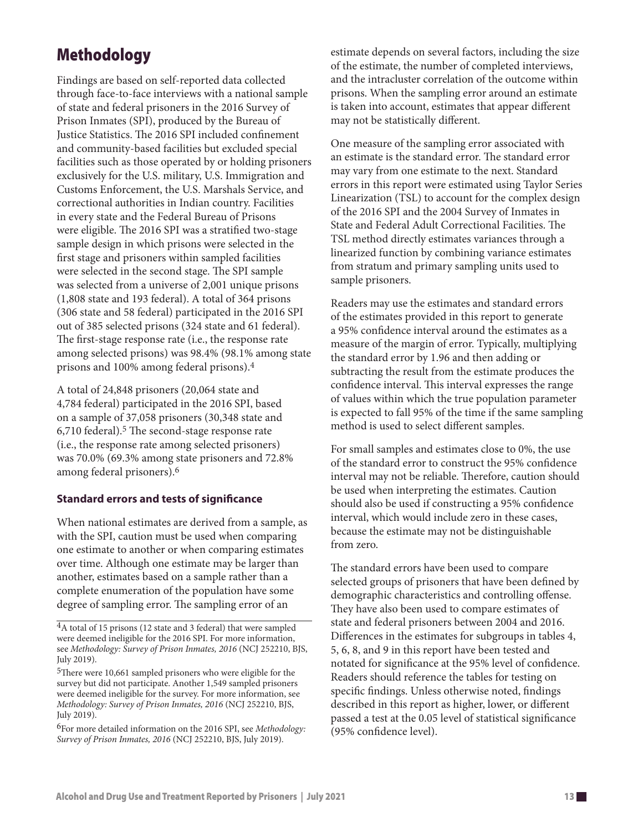## Methodology

Findings are based on self-reported data collected through face-to-face interviews with a national sample of state and federal prisoners in the 2016 Survey of Prison Inmates (SPI), produced by the Bureau of Justice Statistics. The 2016 SPI included confinement and community-based facilities but excluded special facilities such as those operated by or holding prisoners exclusively for the U.S. military, U.S. Immigration and Customs Enforcement, the U.S. Marshals Service, and correctional authorities in Indian country. Facilities in every state and the Federal Bureau of Prisons were eligible. The 2016 SPI was a stratified two-stage sample design in which prisons were selected in the first stage and prisoners within sampled facilities were selected in the second stage. The SPI sample was selected from a universe of 2,001 unique prisons (1,808 state and 193 federal). A total of 364 prisons (306 state and 58 federal) participated in the 2016 SPI out of 385 selected prisons (324 state and 61 federal). The first-stage response rate (i.e., the response rate among selected prisons) was 98.4% (98.1% among state prisons and 100% among federal prisons).4

A total of 24,848 prisoners (20,064 state and 4,784 federal) participated in the 2016 SPI, based on a sample of 37,058 prisoners (30,348 state and 6,710 federal).5 The second-stage response rate (i.e., the response rate among selected prisoners) was 70.0% (69.3% among state prisoners and 72.8% among federal prisoners).6

### **Standard errors and tests of significance**

When national estimates are derived from a sample, as with the SPI, caution must be used when comparing one estimate to another or when comparing estimates over time. Although one estimate may be larger than another, estimates based on a sample rather than a complete enumeration of the population have some degree of sampling error. The sampling error of an

estimate depends on several factors, including the size of the estimate, the number of completed interviews, and the intracluster correlation of the outcome within prisons. When the sampling error around an estimate is taken into account, estimates that appear different may not be statistically different.

One measure of the sampling error associated with an estimate is the standard error. The standard error may vary from one estimate to the next. Standard errors in this report were estimated using Taylor Series Linearization (TSL) to account for the complex design of the 2016 SPI and the 2004 Survey of Inmates in State and Federal Adult Correctional Facilities. The TSL method directly estimates variances through a linearized function by combining variance estimates from stratum and primary sampling units used to sample prisoners.

Readers may use the estimates and standard errors of the estimates provided in this report to generate a 95% confidence interval around the estimates as a measure of the margin of error. Typically, multiplying the standard error by 1.96 and then adding or subtracting the result from the estimate produces the confidence interval. This interval expresses the range of values within which the true population parameter is expected to fall 95% of the time if the same sampling method is used to select different samples.

For small samples and estimates close to 0%, the use of the standard error to construct the 95% confidence interval may not be reliable. Therefore, caution should be used when interpreting the estimates. Caution should also be used if constructing a 95% confidence interval, which would include zero in these cases, because the estimate may not be distinguishable from zero.

The standard errors have been used to compare selected groups of prisoners that have been defined by demographic characteristics and controlling offense. They have also been used to compare estimates of state and federal prisoners between 2004 and 2016. Differences in the estimates for subgroups in tables 4, 5, 6, 8, and 9 in this report have been tested and notated for significance at the 95% level of confidence. Readers should reference the tables for testing on specific findings. Unless otherwise noted, findings described in this report as higher, lower, or different passed a test at the 0.05 level of statistical significance (95% confidence level).

<sup>4</sup>A total of 15 prisons (12 state and 3 federal) that were sampled were deemed ineligible for the 2016 SPI. For more information, see *Methodology: Survey of Prison Inmates, 2016* (NCJ 252210, BJS, July 2019).

<sup>5</sup>There were 10,661 sampled prisoners who were eligible for the survey but did not participate. Another 1,549 sampled prisoners were deemed ineligible for the survey. For more information, see *Methodology: Survey of Prison Inmates, 2016* (NCJ 252210, BJS, July 2019).

<sup>6</sup>For more detailed information on the 2016 SPI, see *Methodology: Survey of Prison Inmates, 2016* (NCJ 252210, BJS, July 2019).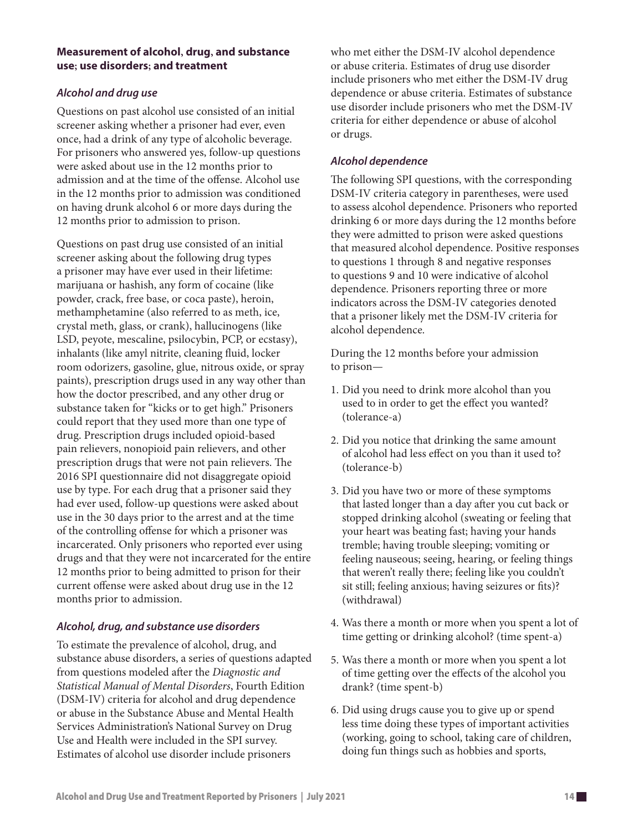### **Measurement of alcohol, drug, and substance use; use disorders; and treatment**

### *Alcohol and drug use*

Questions on past alcohol use consisted of an initial screener asking whether a prisoner had ever, even once, had a drink of any type of alcoholic beverage. For prisoners who answered yes, follow-up questions were asked about use in the 12 months prior to admission and at the time of the offense. Alcohol use in the 12 months prior to admission was conditioned on having drunk alcohol 6 or more days during the 12 months prior to admission to prison.

Questions on past drug use consisted of an initial screener asking about the following drug types a prisoner may have ever used in their lifetime: marijuana or hashish, any form of cocaine (like powder, crack, free base, or coca paste), heroin, methamphetamine (also referred to as meth, ice, crystal meth, glass, or crank), hallucinogens (like LSD, peyote, mescaline, psilocybin, PCP, or ecstasy), inhalants (like amyl nitrite, cleaning fluid, locker room odorizers, gasoline, glue, nitrous oxide, or spray paints), prescription drugs used in any way other than how the doctor prescribed, and any other drug or substance taken for "kicks or to get high." Prisoners could report that they used more than one type of drug. Prescription drugs included opioid-based pain relievers, nonopioid pain relievers, and other prescription drugs that were not pain relievers. The 2016 SPI questionnaire did not disaggregate opioid use by type. For each drug that a prisoner said they had ever used, follow-up questions were asked about use in the 30 days prior to the arrest and at the time of the controlling offense for which a prisoner was incarcerated. Only prisoners who reported ever using drugs and that they were not incarcerated for the entire 12 months prior to being admitted to prison for their current offense were asked about drug use in the 12 months prior to admission.

### *Alcohol, drug, and substance use disorders*

To estimate the prevalence of alcohol, drug, and substance abuse disorders, a series of questions adapted from questions modeled after the *Diagnostic and Statistical Manual of Mental Disorders*, Fourth Edition (DSM-IV) criteria for alcohol and drug dependence or abuse in the Substance Abuse and Mental Health Services Administration's National Survey on Drug Use and Health were included in the SPI survey. Estimates of alcohol use disorder include prisoners

who met either the DSM-IV alcohol dependence or abuse criteria. Estimates of drug use disorder include prisoners who met either the DSM-IV drug dependence or abuse criteria. Estimates of substance use disorder include prisoners who met the DSM-IV criteria for either dependence or abuse of alcohol or drugs.

### *Alcohol dependence*

The following SPI questions, with the corresponding DSM-IV criteria category in parentheses, were used to assess alcohol dependence. Prisoners who reported drinking 6 or more days during the 12 months before they were admitted to prison were asked questions that measured alcohol dependence. Positive responses to questions 1 through 8 and negative responses to questions 9 and 10 were indicative of alcohol dependence. Prisoners reporting three or more indicators across the DSM-IV categories denoted that a prisoner likely met the DSM-IV criteria for alcohol dependence.

During the 12 months before your admission to prison—

- 1. Did you need to drink more alcohol than you used to in order to get the effect you wanted? (tolerance-a)
- 2. Did you notice that drinking the same amount of alcohol had less effect on you than it used to? (tolerance-b)
- 3. Did you have two or more of these symptoms that lasted longer than a day after you cut back or stopped drinking alcohol (sweating or feeling that your heart was beating fast; having your hands tremble; having trouble sleeping; vomiting or feeling nauseous; seeing, hearing, or feeling things that weren't really there; feeling like you couldn't sit still; feeling anxious; having seizures or fits)? (withdrawal)
- 4. Was there a month or more when you spent a lot of time getting or drinking alcohol? (time spent-a)
- 5. Was there a month or more when you spent a lot of time getting over the effects of the alcohol you drank? (time spent-b)
- 6. Did using drugs cause you to give up or spend less time doing these types of important activities (working, going to school, taking care of children, doing fun things such as hobbies and sports,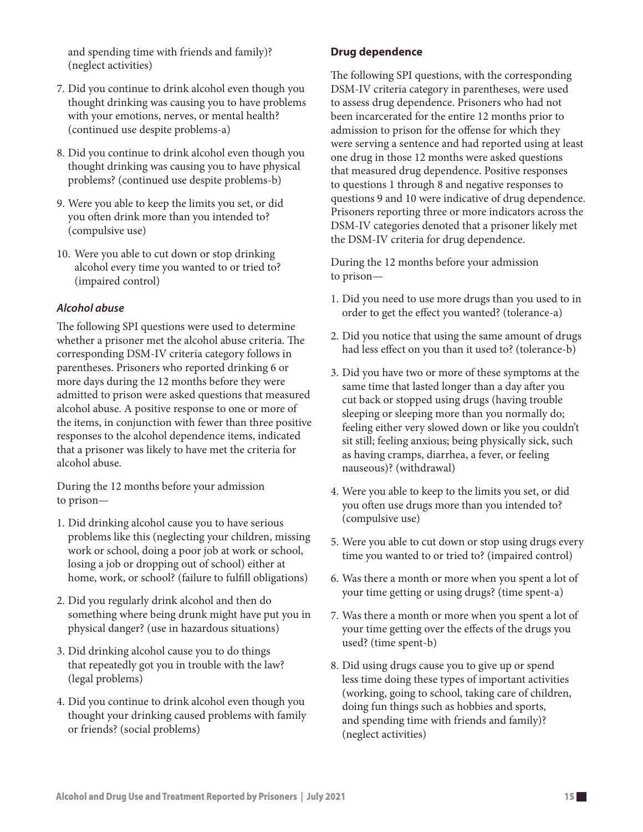and spending time with friends and family)? (neglect activities)

- 7. Did you continue to drink alcohol even though you thought drinking was causing you to have problems with your emotions, nerves, or mental health? (continued use despite problems-a)
- 8. Did you continue to drink alcohol even though you thought drinking was causing you to have physical problems? (continued use despite problems-b)
- 9. Were you able to keep the limits you set, or did you often drink more than you intended to? (compulsive use)
- 10. Were you able to cut down or stop drinking alcohol every time you wanted to or tried to? (impaired control)

### *Alcohol abuse*

The following SPI questions were used to determine whether a prisoner met the alcohol abuse criteria. The corresponding DSM-IV criteria category follows in parentheses. Prisoners who reported drinking 6 or more days during the 12 months before they were admitted to prison were asked questions that measured alcohol abuse. A positive response to one or more of the items, in conjunction with fewer than three positive responses to the alcohol dependence items, indicated that a prisoner was likely to have met the criteria for alcohol abuse.

During the 12 months before your admission to prison—

- 1. Did drinking alcohol cause you to have serious problems like this (neglecting your children, missing work or school, doing a poor job at work or school, losing a job or dropping out of school) either at home, work, or school? (failure to fulfill obligations)
- 2. Did you regularly drink alcohol and then do something where being drunk might have put you in physical danger? (use in hazardous situations)
- 3. Did drinking alcohol cause you to do things that repeatedly got you in trouble with the law? (legal problems)
- 4. Did you continue to drink alcohol even though you thought your drinking caused problems with family or friends? (social problems)

### **Drug dependence**

The following SPI questions, with the corresponding DSM-IV criteria category in parentheses, were used to assess drug dependence. Prisoners who had not been incarcerated for the entire 12 months prior to admission to prison for the offense for which they were serving a sentence and had reported using at least one drug in those 12 months were asked questions that measured drug dependence. Positive responses to questions 1 through 8 and negative responses to questions 9 and 10 were indicative of drug dependence. Prisoners reporting three or more indicators across the DSM-IV categories denoted that a prisoner likely met the DSM-IV criteria for drug dependence.

During the 12 months before your admission to prison—

- 1. Did you need to use more drugs than you used to in order to get the effect you wanted? (tolerance-a)
- 2. Did you notice that using the same amount of drugs had less effect on you than it used to? (tolerance-b)
- 3. Did you have two or more of these symptoms at the same time that lasted longer than a day after you cut back or stopped using drugs (having trouble sleeping or sleeping more than you normally do; feeling either very slowed down or like you couldn't sit still; feeling anxious; being physically sick, such as having cramps, diarrhea, a fever, or feeling nauseous)? (withdrawal)
- 4. Were you able to keep to the limits you set, or did you often use drugs more than you intended to? (compulsive use)
- 5. Were you able to cut down or stop using drugs every time you wanted to or tried to? (impaired control)
- 6. Was there a month or more when you spent a lot of your time getting or using drugs? (time spent-a)
- 7. Was there a month or more when you spent a lot of your time getting over the effects of the drugs you used? (time spent-b)
- 8. Did using drugs cause you to give up or spend less time doing these types of important activities (working, going to school, taking care of children, doing fun things such as hobbies and sports, and spending time with friends and family)? (neglect activities)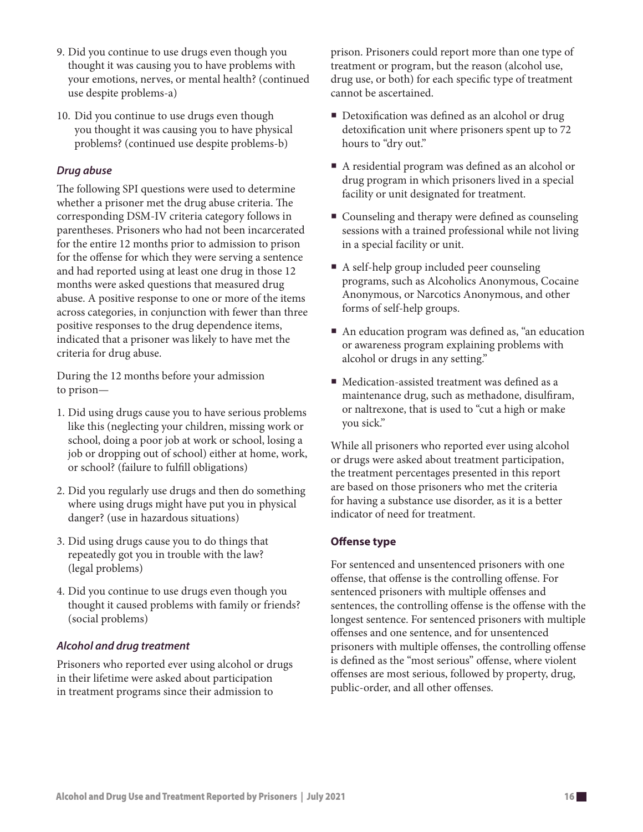- 9. Did you continue to use drugs even though you thought it was causing you to have problems with your emotions, nerves, or mental health? (continued use despite problems-a)
- 10. Did you continue to use drugs even though you thought it was causing you to have physical problems? (continued use despite problems-b)

### *Drug abuse*

The following SPI questions were used to determine whether a prisoner met the drug abuse criteria. The corresponding DSM-IV criteria category follows in parentheses. Prisoners who had not been incarcerated for the entire 12 months prior to admission to prison for the offense for which they were serving a sentence and had reported using at least one drug in those 12 months were asked questions that measured drug abuse. A positive response to one or more of the items across categories, in conjunction with fewer than three positive responses to the drug dependence items, indicated that a prisoner was likely to have met the criteria for drug abuse.

During the 12 months before your admission to prison—

- 1. Did using drugs cause you to have serious problems like this (neglecting your children, missing work or school, doing a poor job at work or school, losing a job or dropping out of school) either at home, work, or school? (failure to fulfill obligations)
- 2. Did you regularly use drugs and then do something where using drugs might have put you in physical danger? (use in hazardous situations)
- 3. Did using drugs cause you to do things that repeatedly got you in trouble with the law? (legal problems)
- 4. Did you continue to use drugs even though you thought it caused problems with family or friends? (social problems)

### *Alcohol and drug treatment*

Prisoners who reported ever using alcohol or drugs in their lifetime were asked about participation in treatment programs since their admission to

prison. Prisoners could report more than one type of treatment or program, but the reason (alcohol use, drug use, or both) for each specific type of treatment cannot be ascertained.

- Detoxification was defined as an alcohol or drug detoxification unit where prisoners spent up to 72 hours to "dry out."
- A residential program was defined as an alcohol or drug program in which prisoners lived in a special facility or unit designated for treatment.
- Counseling and therapy were defined as counseling sessions with a trained professional while not living in a special facility or unit.
- A self-help group included peer counseling programs, such as Alcoholics Anonymous, Cocaine Anonymous, or Narcotics Anonymous, and other forms of self-help groups.
- An education program was defined as, "an education or awareness program explaining problems with alcohol or drugs in any setting."
- Medication-assisted treatment was defined as a maintenance drug, such as methadone, disulfiram, or naltrexone, that is used to "cut a high or make you sick."

While all prisoners who reported ever using alcohol or drugs were asked about treatment participation, the treatment percentages presented in this report are based on those prisoners who met the criteria for having a substance use disorder, as it is a better indicator of need for treatment.

### **Offense type**

For sentenced and unsentenced prisoners with one offense, that offense is the controlling offense. For sentenced prisoners with multiple offenses and sentences, the controlling offense is the offense with the longest sentence. For sentenced prisoners with multiple offenses and one sentence, and for unsentenced prisoners with multiple offenses, the controlling offense is defined as the "most serious" offense, where violent offenses are most serious, followed by property, drug, public-order, and all other offenses.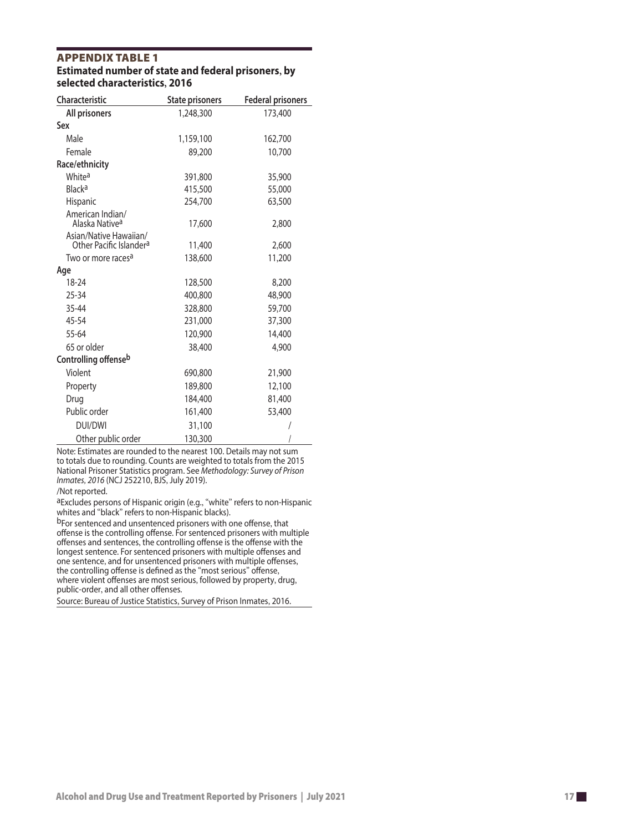### APPEnDIx TAblE 1 **Estimated number of state and federal prisoners , by selected characteristics , 2016**

| <b>Characteristic</b>                                         | <b>State prisoners</b> | <b>Federal prisoners</b> |
|---------------------------------------------------------------|------------------------|--------------------------|
| All prisoners                                                 | 1,248,300              | 173,400                  |
| Sex                                                           |                        |                          |
| Male                                                          | 1,159,100              | 162,700                  |
| Female                                                        | 89,200                 | 10,700                   |
| Race/ethnicity                                                |                        |                          |
| White <sup>a</sup>                                            | 391,800                | 35,900                   |
| Black <sup>a</sup>                                            | 415,500                | 55,000                   |
| <b>Hispanic</b>                                               | 254,700                | 63,500                   |
| American Indian/<br>Alaska Native <sup>a</sup>                | 17,600                 | 2,800                    |
| Asian/Native Hawaiian/<br>Other Pacific Islander <sup>a</sup> | 11,400                 | 2,600                    |
| Two or more races <sup>a</sup>                                | 138,600                | 11,200                   |
| Age                                                           |                        |                          |
| 18-24                                                         | 128,500                | 8,200                    |
| 25-34                                                         | 400,800                | 48,900                   |
| 35-44                                                         | 328,800                | 59,700                   |
| 45-54                                                         | 231,000                | 37,300                   |
| 55-64                                                         | 120,900                | 14,400                   |
| 65 or older                                                   | 38,400                 | 4,900                    |
| Controlling offenseb                                          |                        |                          |
| Violent                                                       | 690,800                | 21,900                   |
| Property                                                      | 189,800                | 12,100                   |
| Drug                                                          | 184,400                | 81,400                   |
| Public order                                                  | 161,400                | 53,400                   |
| DUI/DWI                                                       | 31,100                 |                          |
| Other public order                                            | 130,300                |                          |

Note: Estimates are rounded to the nearest 100. Details may not sum to totals due to rounding. Counts are weighted to totals from the 2015 National Prisoner Statistics program. See *Methodology: Survey of Prison Inmates , 2016* (NCJ 252210 , BJS , July 2019).

#### /Not reported.

aExcludes persons of Hispanic origin (e.g., "white" refers to non-Hispanic whites and "black " refers to non-Hispanic blacks).

b<sub>For sentenced and unsentenced prisoners with one offense, that</sub> offense is the controlling offense. For sentenced prisoners with multiple offenses and sentences , the controlling offense is the offense with the longest sentence. For sentenced prisoners with multiple offenses and one sentence , and for unsentenced prisoners with multiple offenses , the controlling offense is defined as the "most serious " offense , where violent offenses are most serious , followed by property , drug , public-order , and all other offenses.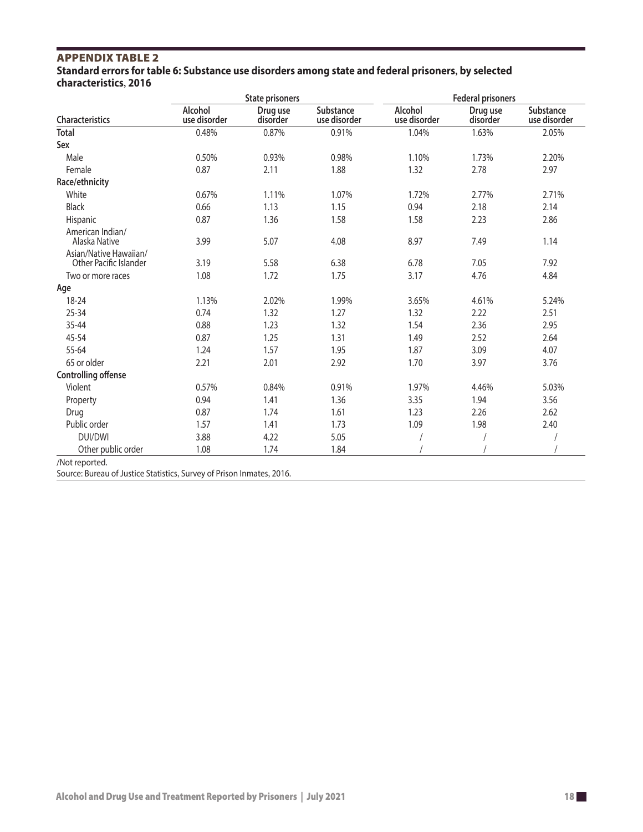### APPEnDIx TAblE 2

**Standard errors for table 6: Substance use disorders among state and federal prisoners, by selected characteristics, 2016**

|                                                  |                         | <b>State prisoners</b> |                           | <b>Federal prisoners</b> |                      |                           |  |
|--------------------------------------------------|-------------------------|------------------------|---------------------------|--------------------------|----------------------|---------------------------|--|
| Characteristics                                  | Alcohol<br>use disorder | Drug use<br>disorder   | Substance<br>use disorder | Alcohol<br>use disorder  | Drug use<br>disorder | Substance<br>use disorder |  |
| <b>Total</b>                                     | 0.48%                   | 0.87%                  | 0.91%                     | 1.04%                    | 1.63%                | 2.05%                     |  |
| Sex                                              |                         |                        |                           |                          |                      |                           |  |
| Male                                             | 0.50%                   | 0.93%                  | 0.98%                     | 1.10%                    | 1.73%                | 2.20%                     |  |
| Female                                           | 0.87                    | 2.11                   | 1.88                      | 1.32                     | 2.78                 | 2.97                      |  |
| Race/ethnicity                                   |                         |                        |                           |                          |                      |                           |  |
| White                                            | 0.67%                   | 1.11%                  | 1.07%                     | 1.72%                    | 2.77%                | 2.71%                     |  |
| <b>Black</b>                                     | 0.66                    | 1.13                   | 1.15                      | 0.94                     | 2.18                 | 2.14                      |  |
| Hispanic                                         | 0.87                    | 1.36                   | 1.58                      | 1.58                     | 2.23                 | 2.86                      |  |
| American Indian/<br>Alaska Native                | 3.99                    | 5.07                   | 4.08                      | 8.97                     | 7.49                 | 1.14                      |  |
| Asian/Native Hawaiian/<br>Other Pacific Islander | 3.19                    | 5.58                   | 6.38                      | 6.78                     | 7.05                 | 7.92                      |  |
| Two or more races                                | 1.08                    | 1.72                   | 1.75                      | 3.17                     | 4.76                 | 4.84                      |  |
| Age                                              |                         |                        |                           |                          |                      |                           |  |
| 18-24                                            | 1.13%                   | 2.02%                  | 1.99%                     | 3.65%                    | 4.61%                | 5.24%                     |  |
| 25-34                                            | 0.74                    | 1.32                   | 1.27                      | 1.32                     | 2.22                 | 2.51                      |  |
| 35-44                                            | 0.88                    | 1.23                   | 1.32                      | 1.54                     | 2.36                 | 2.95                      |  |
| 45-54                                            | 0.87                    | 1.25                   | 1.31                      | 1.49                     | 2.52                 | 2.64                      |  |
| 55-64                                            | 1.24                    | 1.57                   | 1.95                      | 1.87                     | 3.09                 | 4.07                      |  |
| 65 or older                                      | 2.21                    | 2.01                   | 2.92                      | 1.70                     | 3.97                 | 3.76                      |  |
| <b>Controlling offense</b>                       |                         |                        |                           |                          |                      |                           |  |
| Violent                                          | 0.57%                   | 0.84%                  | 0.91%                     | 1.97%                    | 4.46%                | 5.03%                     |  |
| Property                                         | 0.94                    | 1.41                   | 1.36                      | 3.35                     | 1.94                 | 3.56                      |  |
| Drug                                             | 0.87                    | 1.74                   | 1.61                      | 1.23                     | 2.26                 | 2.62                      |  |
| Public order                                     | 1.57                    | 1.41                   | 1.73                      | 1.09                     | 1.98                 | 2.40                      |  |
| <b>DUI/DWI</b>                                   | 3.88                    | 4.22                   | 5.05                      |                          |                      |                           |  |
| Other public order                               | 1.08                    | 1.74                   | 1.84                      |                          |                      |                           |  |
| /Not reported.                                   |                         |                        |                           |                          |                      |                           |  |